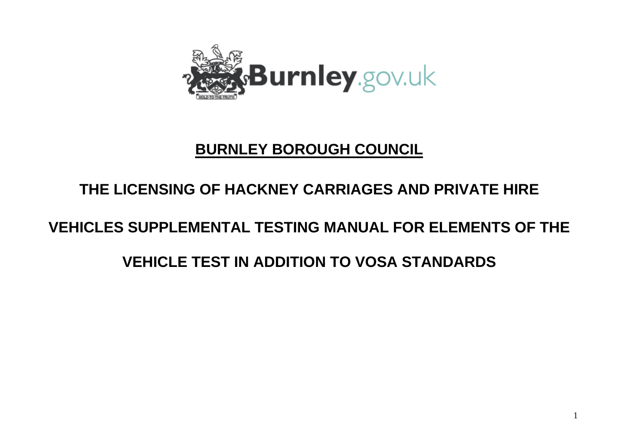

## **BURNLEY BOROUGH COUNCIL**

### **THE LICENSING OF HACKNEY CARRIAGES AND PRIVATE HIRE**

## **VEHICLES SUPPLEMENTAL TESTING MANUAL FOR ELEMENTS OF THE**

## **VEHICLE TEST IN ADDITION TO VOSA STANDARDS**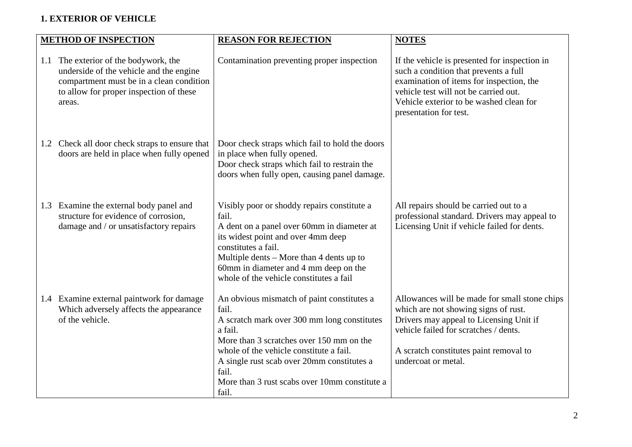#### **1. EXTERIOR OF VEHICLE**

|     | <b>METHOD OF INSPECTION</b>                                                                                                                                                   | <b>REASON FOR REJECTION</b>                                                                                                                                                                                                                                                                                           | <b>NOTES</b>                                                                                                                                                                                                                                     |
|-----|-------------------------------------------------------------------------------------------------------------------------------------------------------------------------------|-----------------------------------------------------------------------------------------------------------------------------------------------------------------------------------------------------------------------------------------------------------------------------------------------------------------------|--------------------------------------------------------------------------------------------------------------------------------------------------------------------------------------------------------------------------------------------------|
| 1.1 | The exterior of the bodywork, the<br>underside of the vehicle and the engine<br>compartment must be in a clean condition<br>to allow for proper inspection of these<br>areas. | Contamination preventing proper inspection                                                                                                                                                                                                                                                                            | If the vehicle is presented for inspection in<br>such a condition that prevents a full<br>examination of items for inspection, the<br>vehicle test will not be carried out.<br>Vehicle exterior to be washed clean for<br>presentation for test. |
|     | 1.2 Check all door check straps to ensure that<br>doors are held in place when fully opened                                                                                   | Door check straps which fail to hold the doors<br>in place when fully opened.<br>Door check straps which fail to restrain the<br>doors when fully open, causing panel damage.                                                                                                                                         |                                                                                                                                                                                                                                                  |
| 1.3 | Examine the external body panel and<br>structure for evidence of corrosion,<br>damage and / or unsatisfactory repairs                                                         | Visibly poor or shoddy repairs constitute a<br>fail.<br>A dent on a panel over 60mm in diameter at<br>its widest point and over 4mm deep<br>constitutes a fail.<br>Multiple dents – More than 4 dents up to<br>60mm in diameter and 4 mm deep on the<br>whole of the vehicle constitutes a fail                       | All repairs should be carried out to a<br>professional standard. Drivers may appeal to<br>Licensing Unit if vehicle failed for dents.                                                                                                            |
|     | 1.4 Examine external paintwork for damage<br>Which adversely affects the appearance<br>of the vehicle.                                                                        | An obvious mismatch of paint constitutes a<br>fail.<br>A scratch mark over 300 mm long constitutes<br>a fail.<br>More than 3 scratches over 150 mm on the<br>whole of the vehicle constitute a fail.<br>A single rust scab over 20mm constitutes a<br>fail.<br>More than 3 rust scabs over 10mm constitute a<br>fail. | Allowances will be made for small stone chips<br>which are not showing signs of rust.<br>Drivers may appeal to Licensing Unit if<br>vehicle failed for scratches / dents.<br>A scratch constitutes paint removal to<br>undercoat or metal.       |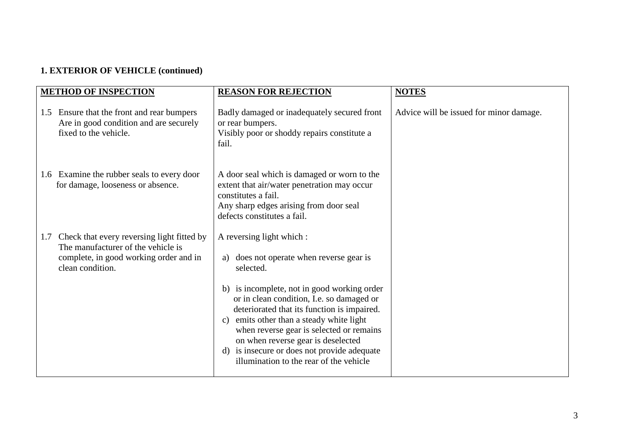### **1. EXTERIOR OF VEHICLE (continued)**

|     | <b>METHOD OF INSPECTION</b>                                                                                                                    | <b>REASON FOR REJECTION</b>                                                                                                                                                                                                                                                                                                                                                                                                                                 | <b>NOTES</b>                            |
|-----|------------------------------------------------------------------------------------------------------------------------------------------------|-------------------------------------------------------------------------------------------------------------------------------------------------------------------------------------------------------------------------------------------------------------------------------------------------------------------------------------------------------------------------------------------------------------------------------------------------------------|-----------------------------------------|
| 1.5 | Ensure that the front and rear bumpers<br>Are in good condition and are securely<br>fixed to the vehicle.                                      | Badly damaged or inadequately secured front<br>or rear bumpers.<br>Visibly poor or shoddy repairs constitute a<br>fail.                                                                                                                                                                                                                                                                                                                                     | Advice will be issued for minor damage. |
|     | 1.6 Examine the rubber seals to every door<br>for damage, looseness or absence.                                                                | A door seal which is damaged or worn to the<br>extent that air/water penetration may occur<br>constitutes a fail.<br>Any sharp edges arising from door seal<br>defects constitutes a fail.                                                                                                                                                                                                                                                                  |                                         |
| 1.7 | Check that every reversing light fitted by<br>The manufacturer of the vehicle is<br>complete, in good working order and in<br>clean condition. | A reversing light which :<br>does not operate when reverse gear is<br>a)<br>selected.<br>b) is incomplete, not in good working order<br>or in clean condition, I.e. so damaged or<br>deteriorated that its function is impaired.<br>emits other than a steady white light<br>C)<br>when reverse gear is selected or remains<br>on when reverse gear is deselected<br>d) is insecure or does not provide adequate<br>illumination to the rear of the vehicle |                                         |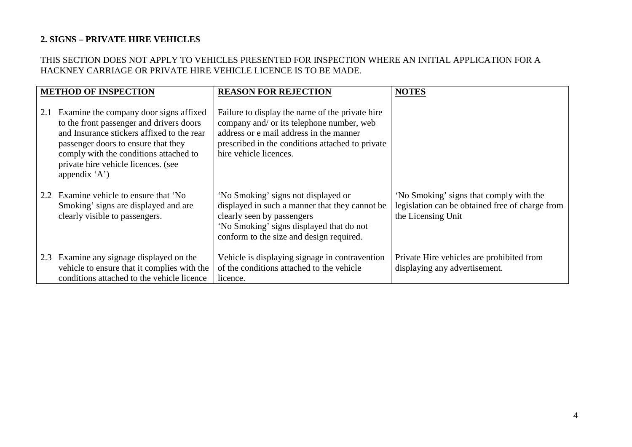#### **2. SIGNS – PRIVATE HIRE VEHICLES**

#### THIS SECTION DOES NOT APPLY TO VEHICLES PRESENTED FOR INSPECTION WHERE AN INITIAL APPLICATION FOR A HACKNEY CARRIAGE OR PRIVATE HIRE VEHICLE LICENCE IS TO BE MADE.

|               | <b>METHOD OF INSPECTION</b>                                                                                                                                                                                                                                                  | <b>REASON FOR REJECTION</b>                                                                                                                                                                                           | <b>NOTES</b>                                                                                                     |
|---------------|------------------------------------------------------------------------------------------------------------------------------------------------------------------------------------------------------------------------------------------------------------------------------|-----------------------------------------------------------------------------------------------------------------------------------------------------------------------------------------------------------------------|------------------------------------------------------------------------------------------------------------------|
| 2.1           | Examine the company door signs affixed<br>to the front passenger and drivers doors<br>and Insurance stickers affixed to the rear<br>passenger doors to ensure that they<br>comply with the conditions attached to<br>private hire vehicle licences. (see<br>appendix $'A'$ ) | Failure to display the name of the private hire<br>company and/ or its telephone number, web<br>address or e mail address in the manner<br>prescribed in the conditions attached to private<br>hire vehicle licences. |                                                                                                                  |
| $2.2^{\circ}$ | Examine vehicle to ensure that 'No<br>Smoking' signs are displayed and are<br>clearly visible to passengers.                                                                                                                                                                 | 'No Smoking' signs not displayed or<br>displayed in such a manner that they cannot be<br>clearly seen by passengers<br>'No Smoking' signs displayed that do not<br>conform to the size and design required.           | 'No Smoking' signs that comply with the<br>legislation can be obtained free of charge from<br>the Licensing Unit |
|               | 2.3 Examine any signage displayed on the<br>vehicle to ensure that it complies with the<br>conditions attached to the vehicle licence                                                                                                                                        | Vehicle is displaying signage in contravention<br>of the conditions attached to the vehicle<br>licence.                                                                                                               | Private Hire vehicles are prohibited from<br>displaying any advertisement.                                       |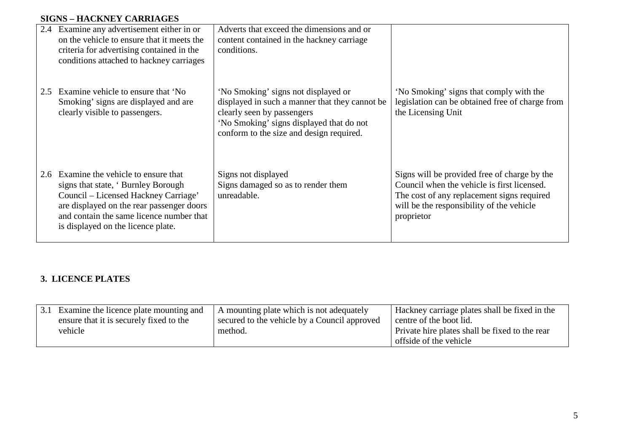#### **SIGNS – HACKNEY CARRIAGES**

|     | 2.4 Examine any advertisement either in or<br>on the vehicle to ensure that it meets the<br>criteria for advertising contained in the<br>conditions attached to hackney carriages                                                               | Adverts that exceed the dimensions and or<br>content contained in the hackney carriage<br>conditions.                                                                                                       |                                                                                                                                                                                                      |
|-----|-------------------------------------------------------------------------------------------------------------------------------------------------------------------------------------------------------------------------------------------------|-------------------------------------------------------------------------------------------------------------------------------------------------------------------------------------------------------------|------------------------------------------------------------------------------------------------------------------------------------------------------------------------------------------------------|
| 2.5 | Examine vehicle to ensure that 'No<br>Smoking' signs are displayed and are<br>clearly visible to passengers.                                                                                                                                    | 'No Smoking' signs not displayed or<br>displayed in such a manner that they cannot be<br>clearly seen by passengers<br>'No Smoking' signs displayed that do not<br>conform to the size and design required. | 'No Smoking' signs that comply with the<br>legislation can be obtained free of charge from<br>the Licensing Unit                                                                                     |
| 2.6 | Examine the vehicle to ensure that<br>signs that state, 'Burnley Borough<br>Council – Licensed Hackney Carriage'<br>are displayed on the rear passenger doors<br>and contain the same licence number that<br>is displayed on the licence plate. | Signs not displayed<br>Signs damaged so as to render them<br>unreadable.                                                                                                                                    | Signs will be provided free of charge by the<br>Council when the vehicle is first licensed.<br>The cost of any replacement signs required<br>will be the responsibility of the vehicle<br>proprietor |

#### **3. LICENCE PLATES**

| 3.1 Examine the licence plate mounting and | A mounting plate which is not adequately     | Hackney carriage plates shall be fixed in the  |
|--------------------------------------------|----------------------------------------------|------------------------------------------------|
| ensure that it is securely fixed to the    | secured to the vehicle by a Council approved | centre of the boot lid.                        |
| vehicle                                    | method.                                      | Private hire plates shall be fixed to the rear |
|                                            |                                              | offside of the vehicle                         |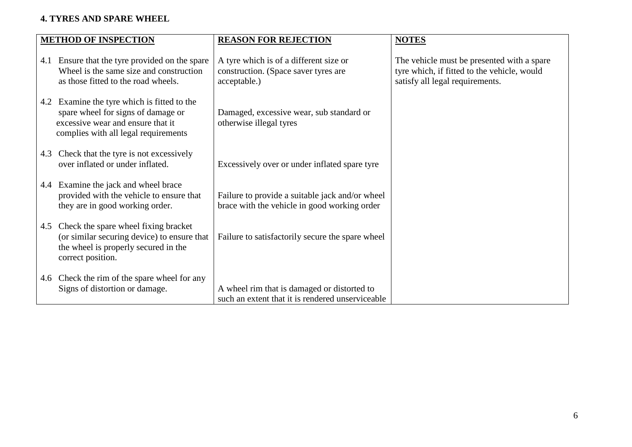#### **4. TYRES AND SPARE WHEEL**

|     | <b>METHOD OF INSPECTION</b>                                                                                                                                | <b>REASON FOR REJECTION</b>                                                                     | <b>NOTES</b>                                                                                                                 |
|-----|------------------------------------------------------------------------------------------------------------------------------------------------------------|-------------------------------------------------------------------------------------------------|------------------------------------------------------------------------------------------------------------------------------|
|     | 4.1 Ensure that the tyre provided on the spare<br>Wheel is the same size and construction<br>as those fitted to the road wheels.                           | A tyre which is of a different size or<br>construction. (Space saver tyres are<br>acceptable.)  | The vehicle must be presented with a spare<br>tyre which, if fitted to the vehicle, would<br>satisfy all legal requirements. |
| 4.2 | Examine the tyre which is fitted to the<br>spare wheel for signs of damage or<br>excessive wear and ensure that it<br>complies with all legal requirements | Damaged, excessive wear, sub standard or<br>otherwise illegal tyres                             |                                                                                                                              |
| 4.3 | Check that the tyre is not excessively<br>over inflated or under inflated.                                                                                 | Excessively over or under inflated spare tyre                                                   |                                                                                                                              |
| 4.4 | Examine the jack and wheel brace<br>provided with the vehicle to ensure that<br>they are in good working order.                                            | Failure to provide a suitable jack and/or wheel<br>brace with the vehicle in good working order |                                                                                                                              |
|     | 4.5 Check the spare wheel fixing bracket<br>(or similar securing device) to ensure that<br>the wheel is properly secured in the<br>correct position.       | Failure to satisfactorily secure the spare wheel                                                |                                                                                                                              |
|     | 4.6 Check the rim of the spare wheel for any<br>Signs of distortion or damage.                                                                             | A wheel rim that is damaged or distorted to<br>such an extent that it is rendered unserviceable |                                                                                                                              |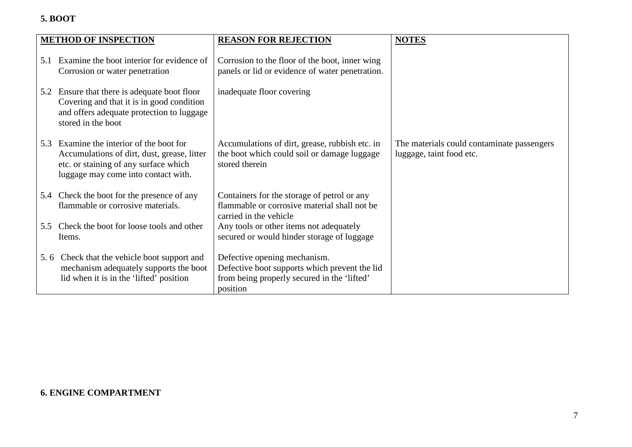#### **5. BOOT**

|     | <b>METHOD OF INSPECTION</b>                                                                                                                                         | <b>REASON FOR REJECTION</b>                                                                                                              | <b>NOTES</b>                                                           |
|-----|---------------------------------------------------------------------------------------------------------------------------------------------------------------------|------------------------------------------------------------------------------------------------------------------------------------------|------------------------------------------------------------------------|
| 5.1 | Examine the boot interior for evidence of<br>Corrosion or water penetration                                                                                         | Corrosion to the floor of the boot, inner wing<br>panels or lid or evidence of water penetration.                                        |                                                                        |
|     | 5.2 Ensure that there is adequate boot floor<br>Covering and that it is in good condition<br>and offers adequate protection to luggage<br>stored in the boot        | inadequate floor covering                                                                                                                |                                                                        |
| 5.3 | Examine the interior of the boot for<br>Accumulations of dirt, dust, grease, litter<br>etc. or staining of any surface which<br>luggage may come into contact with. | Accumulations of dirt, grease, rubbish etc. in<br>the boot which could soil or damage luggage<br>stored therein                          | The materials could contaminate passengers<br>luggage, taint food etc. |
|     | 5.4 Check the boot for the presence of any<br>flammable or corrosive materials.                                                                                     | Containers for the storage of petrol or any<br>flammable or corrosive material shall not be<br>carried in the vehicle                    |                                                                        |
| 5.5 | Check the boot for loose tools and other<br>Items.                                                                                                                  | Any tools or other items not adequately<br>secured or would hinder storage of luggage                                                    |                                                                        |
|     | 5.6 Check that the vehicle boot support and<br>mechanism adequately supports the boot<br>lid when it is in the 'lifted' position                                    | Defective opening mechanism.<br>Defective boot supports which prevent the lid<br>from being properly secured in the 'lifted'<br>position |                                                                        |

#### **6. ENGINE COMPARTMENT**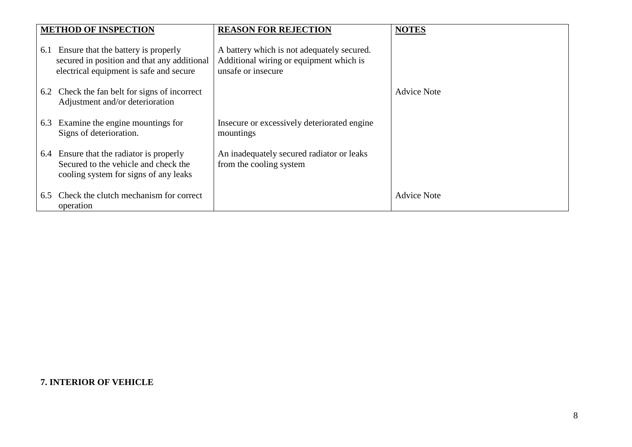|     | <b>METHOD OF INSPECTION</b>                                                                                                   | <b>REASON FOR REJECTION</b>                                                                                 | <b>NOTES</b>       |
|-----|-------------------------------------------------------------------------------------------------------------------------------|-------------------------------------------------------------------------------------------------------------|--------------------|
| 6.1 | Ensure that the battery is properly<br>secured in position and that any additional<br>electrical equipment is safe and secure | A battery which is not adequately secured.<br>Additional wiring or equipment which is<br>unsafe or insecure |                    |
|     | 6.2 Check the fan belt for signs of incorrect<br>Adjustment and/or deterioration                                              |                                                                                                             | <b>Advice Note</b> |
| 6.3 | Examine the engine mountings for<br>Signs of deterioration.                                                                   | Insecure or excessively deteriorated engine<br>mountings                                                    |                    |
|     | 6.4 Ensure that the radiator is properly<br>Secured to the vehicle and check the<br>cooling system for signs of any leaks     | An inadequately secured radiator or leaks<br>from the cooling system                                        |                    |
| 6.5 | Check the clutch mechanism for correct<br>operation                                                                           |                                                                                                             | <b>Advice Note</b> |

#### **7. INTERIOR OF VEHICLE**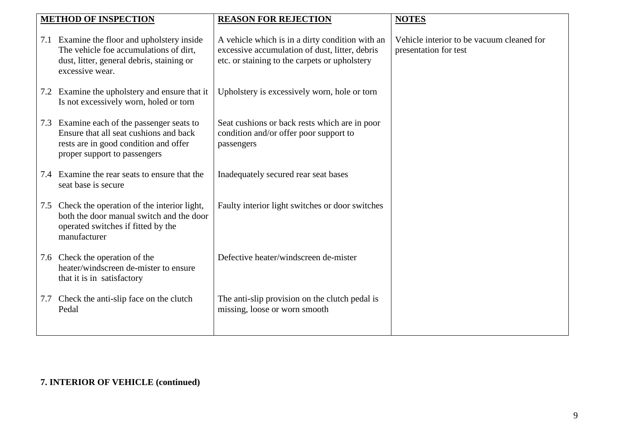| <b>METHOD OF INSPECTION</b>                                                                                                                                   | <b>REASON FOR REJECTION</b>                                                                                                                        | <b>NOTES</b>                                                       |
|---------------------------------------------------------------------------------------------------------------------------------------------------------------|----------------------------------------------------------------------------------------------------------------------------------------------------|--------------------------------------------------------------------|
|                                                                                                                                                               |                                                                                                                                                    |                                                                    |
| 7.1 Examine the floor and upholstery inside<br>The vehicle foe accumulations of dirt,<br>dust, litter, general debris, staining or<br>excessive wear.         | A vehicle which is in a dirty condition with an<br>excessive accumulation of dust, litter, debris<br>etc. or staining to the carpets or upholstery | Vehicle interior to be vacuum cleaned for<br>presentation for test |
| 7.2 Examine the upholstery and ensure that it<br>Is not excessively worn, holed or torn                                                                       | Upholstery is excessively worn, hole or torn                                                                                                       |                                                                    |
| 7.3 Examine each of the passenger seats to<br>Ensure that all seat cushions and back<br>rests are in good condition and offer<br>proper support to passengers | Seat cushions or back rests which are in poor<br>condition and/or offer poor support to<br>passengers                                              |                                                                    |
| 7.4 Examine the rear seats to ensure that the<br>seat base is secure                                                                                          | Inadequately secured rear seat bases                                                                                                               |                                                                    |
| 7.5 Check the operation of the interior light,<br>both the door manual switch and the door<br>operated switches if fitted by the<br>manufacturer              | Faulty interior light switches or door switches                                                                                                    |                                                                    |
| 7.6 Check the operation of the<br>heater/windscreen de-mister to ensure<br>that it is in satisfactory                                                         | Defective heater/windscreen de-mister                                                                                                              |                                                                    |
| 7.7 Check the anti-slip face on the clutch<br>Pedal                                                                                                           | The anti-slip provision on the clutch pedal is<br>missing, loose or worn smooth                                                                    |                                                                    |

### **7. INTERIOR OF VEHICLE (continued)**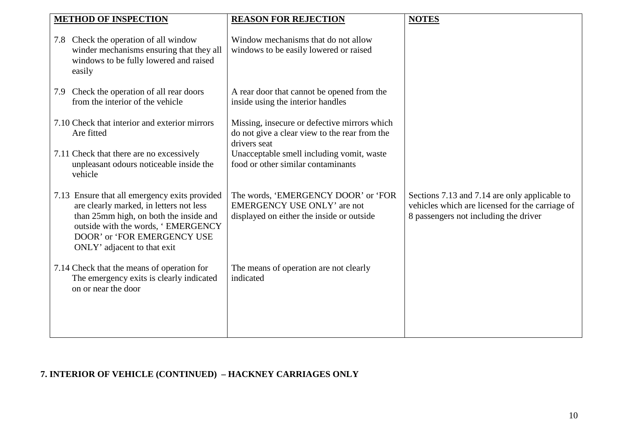| <b>METHOD OF INSPECTION</b>                                                                                                                                                                                                            | <b>REASON FOR REJECTION</b>                                                                                            | <b>NOTES</b>                                                                                                                              |
|----------------------------------------------------------------------------------------------------------------------------------------------------------------------------------------------------------------------------------------|------------------------------------------------------------------------------------------------------------------------|-------------------------------------------------------------------------------------------------------------------------------------------|
| 7.8 Check the operation of all window<br>winder mechanisms ensuring that they all<br>windows to be fully lowered and raised<br>easily                                                                                                  | Window mechanisms that do not allow<br>windows to be easily lowered or raised                                          |                                                                                                                                           |
| 7.9 Check the operation of all rear doors<br>from the interior of the vehicle                                                                                                                                                          | A rear door that cannot be opened from the<br>inside using the interior handles                                        |                                                                                                                                           |
| 7.10 Check that interior and exterior mirrors<br>Are fitted                                                                                                                                                                            | Missing, insecure or defective mirrors which<br>do not give a clear view to the rear from the<br>drivers seat          |                                                                                                                                           |
| 7.11 Check that there are no excessively<br>unpleasant odours noticeable inside the<br>vehicle                                                                                                                                         | Unacceptable smell including vomit, waste<br>food or other similar contaminants                                        |                                                                                                                                           |
| 7.13 Ensure that all emergency exits provided<br>are clearly marked, in letters not less<br>than 25mm high, on both the inside and<br>outside with the words, 'EMERGENCY<br>DOOR' or 'FOR EMERGENCY USE<br>ONLY' adjacent to that exit | The words, 'EMERGENCY DOOR' or 'FOR<br><b>EMERGENCY USE ONLY'</b> are not<br>displayed on either the inside or outside | Sections 7.13 and 7.14 are only applicable to<br>vehicles which are licensed for the carriage of<br>8 passengers not including the driver |
| 7.14 Check that the means of operation for<br>The emergency exits is clearly indicated<br>on or near the door                                                                                                                          | The means of operation are not clearly<br>indicated                                                                    |                                                                                                                                           |
|                                                                                                                                                                                                                                        |                                                                                                                        |                                                                                                                                           |

### **7. INTERIOR OF VEHICLE (CONTINUED) – HACKNEY CARRIAGES ONLY**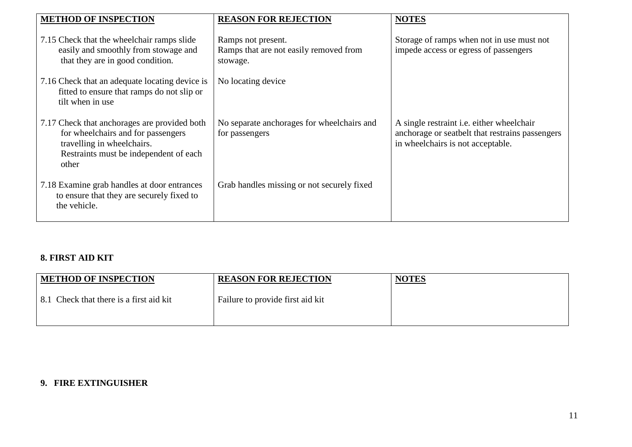| <b>METHOD OF INSPECTION</b>                                                                                                                                         | <b>REASON FOR REJECTION</b>                                              | <b>NOTES</b>                                                                                                                             |
|---------------------------------------------------------------------------------------------------------------------------------------------------------------------|--------------------------------------------------------------------------|------------------------------------------------------------------------------------------------------------------------------------------|
| 7.15 Check that the wheelchair ramps slide<br>easily and smoothly from stowage and<br>that they are in good condition.                                              | Ramps not present.<br>Ramps that are not easily removed from<br>stowage. | Storage of ramps when not in use must not<br>impede access or egress of passengers                                                       |
| 7.16 Check that an adequate locating device is<br>fitted to ensure that ramps do not slip or<br>tilt when in use                                                    | No locating device                                                       |                                                                                                                                          |
| 7.17 Check that anchorages are provided both<br>for wheelchairs and for passengers<br>travelling in wheelchairs.<br>Restraints must be independent of each<br>other | No separate anchorages for wheelchairs and<br>for passengers             | A single restraint <i>i.e.</i> either wheelchair<br>anchorage or seatbelt that restrains passengers<br>in wheelchairs is not acceptable. |
| 7.18 Examine grab handles at door entrances<br>to ensure that they are securely fixed to<br>the vehicle.                                                            | Grab handles missing or not securely fixed                               |                                                                                                                                          |

#### **8. FIRST AID KIT**

| <b>METHOD OF INSPECTION</b>             | <b>REASON FOR REJECTION</b>      | <b>NOTES</b> |
|-----------------------------------------|----------------------------------|--------------|
| 8.1 Check that there is a first aid kit | Failure to provide first aid kit |              |

#### **9. FIRE EXTINGUISHER**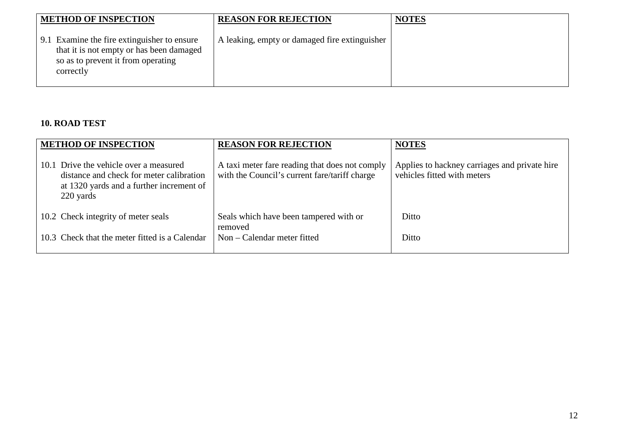| <b>METHOD OF INSPECTION</b>                                                                                                                | <b>REASON FOR REJECTION</b>                   | <b>NOTES</b> |
|--------------------------------------------------------------------------------------------------------------------------------------------|-----------------------------------------------|--------------|
| 9.1 Examine the fire extinguisher to ensure<br>that it is not empty or has been damaged<br>so as to prevent it from operating<br>correctly | A leaking, empty or damaged fire extinguisher |              |

#### **10. ROAD TEST**

| <b>METHOD OF INSPECTION</b>                                                                                                                 | <b>REASON FOR REJECTION</b>                                                                     | <b>NOTES</b>                                                                 |
|---------------------------------------------------------------------------------------------------------------------------------------------|-------------------------------------------------------------------------------------------------|------------------------------------------------------------------------------|
| 10.1 Drive the vehicle over a measured<br>distance and check for meter calibration<br>at 1320 yards and a further increment of<br>220 yards | A taxi meter fare reading that does not comply<br>with the Council's current fare/tariff charge | Applies to hackney carriages and private hire<br>vehicles fitted with meters |
| 10.2 Check integrity of meter seals                                                                                                         | Seals which have been tampered with or<br>removed                                               | Ditto                                                                        |
| 10.3 Check that the meter fitted is a Calendar                                                                                              | Non – Calendar meter fitted                                                                     | Ditto                                                                        |